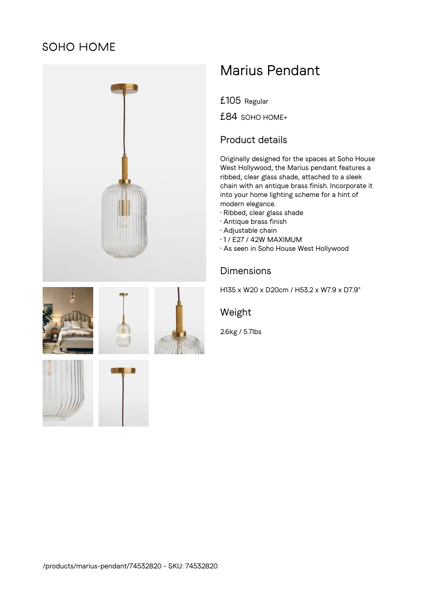## SOHO HOME



# Marius Pendant

£105 Regular

£84 SOHO HOME+

#### Product details

Originally designed for the spaces at Soho House West Hollywood, the Marius pendant features a ribbed, clear glass shade, attached to a sleek chain with an antique brass finish. Incorporate it into your home lighting scheme for a hint of modern elegance.

- Ribbed, clear glass shade
- Antique brass finish
- Adjustable chain
- 1 / E27 / 42W MAXIMUM
- As seen in Soho House West Hollywood

### Dimensions

H135 x W20 x D20cm / H53.2 x W7.9 x D7.9"

#### Weight

2.6kg / 5.7lbs